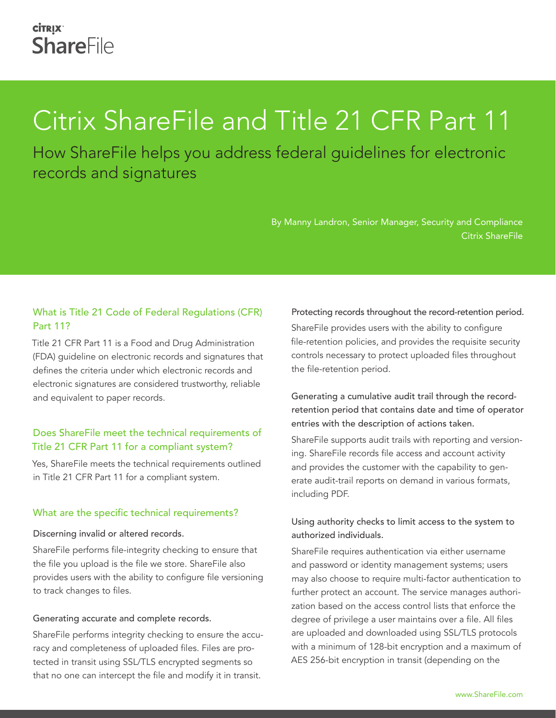# Citrix ShareFile and Title 21 CFR Part 11

How ShareFile helps you address federal guidelines for electronic records and signatures

> By Manny Landron, Senior Manager, Security and Compliance Citrix ShareFile

# What is Title 21 Code of Federal Regulations (CFR) Part 11?

Title 21 CFR Part 11 is a Food and Drug Administration (FDA) guideline on electronic records and signatures that defines the criteria under which electronic records and electronic signatures are considered trustworthy, reliable and equivalent to paper records.

# Does ShareFile meet the technical requirements of Title 21 CFR Part 11 for a compliant system?

Yes, ShareFile meets the technical requirements outlined in Title 21 CFR Part 11 for a compliant system.

## What are the specific technical requirements?

#### Discerning invalid or altered records.

ShareFile performs file-integrity checking to ensure that the file you upload is the file we store. ShareFile also provides users with the ability to configure file versioning to track changes to files.

#### Generating accurate and complete records.

ShareFile performs integrity checking to ensure the accuracy and completeness of uploaded files. Files are protected in transit using SSL/TLS encrypted segments so that no one can intercept the file and modify it in transit.

#### Protecting records throughout the record-retention period.

ShareFile provides users with the ability to configure file-retention policies, and provides the requisite security controls necessary to protect uploaded files throughout the file-retention period.

# Generating a cumulative audit trail through the recordretention period that contains date and time of operator entries with the description of actions taken.

ShareFile supports audit trails with reporting and versioning. ShareFile records file access and account activity and provides the customer with the capability to generate audit-trail reports on demand in various formats, including PDF.

# Using authority checks to limit access to the system to authorized individuals.

ShareFile requires authentication via either username and password or identity management systems; users may also choose to require multi-factor authentication to further protect an account. The service manages authorization based on the access control lists that enforce the degree of privilege a user maintains over a file. All files are uploaded and downloaded using SSL/TLS protocols with a minimum of 128-bit encryption and a maximum of AES 256-bit encryption in transit (depending on the